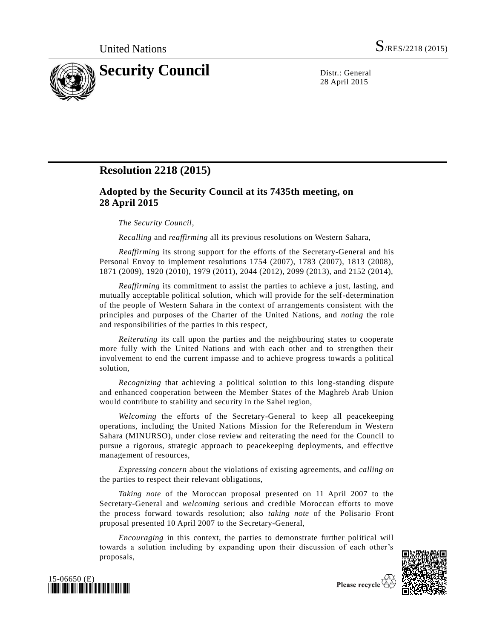

28 April 2015

## **Resolution 2218 (2015)**

## **Adopted by the Security Council at its 7435th meeting, on 28 April 2015**

## *The Security Council*,

*Recalling* and *reaffirming* all its previous resolutions on Western Sahara,

*Reaffirming* its strong support for the efforts of the Secretary-General and his Personal Envoy to implement resolutions 1754 (2007), 1783 (2007), 1813 (2008), 1871 (2009), 1920 (2010), 1979 (2011), 2044 (2012), 2099 (2013), and 2152 (2014),

*Reaffirming* its commitment to assist the parties to achieve a just, lasting, and mutually acceptable political solution, which will provide for the self-determination of the people of Western Sahara in the context of arrangements consistent with the principles and purposes of the Charter of the United Nations, and *noting* the role and responsibilities of the parties in this respect,

*Reiterating* its call upon the parties and the neighbouring states to cooperate more fully with the United Nations and with each other and to strengthen their involvement to end the current impasse and to achieve progress towards a political solution,

*Recognizing* that achieving a political solution to this long-standing dispute and enhanced cooperation between the Member States of the Maghreb Arab Union would contribute to stability and security in the Sahel region,

*Welcoming* the efforts of the Secretary-General to keep all peacekeeping operations, including the United Nations Mission for the Referendum in Western Sahara (MINURSO), under close review and reiterating the need for the Council to pursue a rigorous, strategic approach to peacekeeping deployments, and effective management of resources,

*Expressing concern* about the violations of existing agreements, and *calling on* the parties to respect their relevant obligations,

*Taking note* of the Moroccan proposal presented on 11 April 2007 to the Secretary-General and *welcoming* serious and credible Moroccan efforts to move the process forward towards resolution; also *taking note* of the Polisario Front proposal presented 10 April 2007 to the Secretary-General,

*Encouraging* in this context, the parties to demonstrate further political will towards a solution including by expanding upon their discussion of each other's proposals,





Please recycle V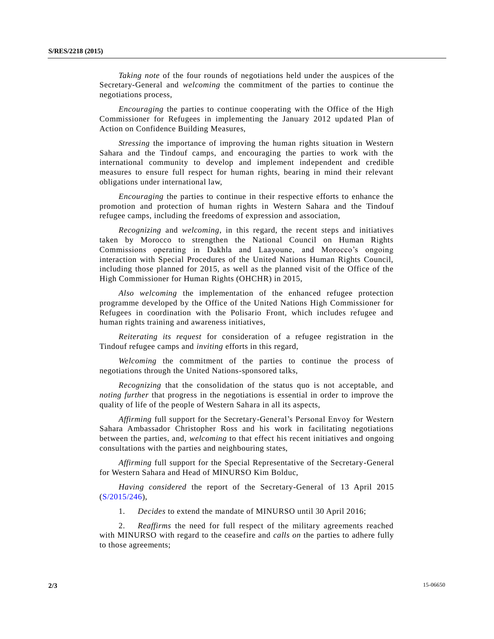*Taking note* of the four rounds of negotiations held under the auspices of the Secretary-General and *welcoming* the commitment of the parties to continue the negotiations process,

*Encouraging* the parties to continue cooperating with the Office of the High Commissioner for Refugees in implementing the January 2012 updated Plan of Action on Confidence Building Measures,

*Stressing* the importance of improving the human rights situation in Western Sahara and the Tindouf camps, and encouraging the parties to work with the international community to develop and implement independent and credible measures to ensure full respect for human rights, bearing in mind their relevant obligations under international law,

*Encouraging* the parties to continue in their respective efforts to enhance the promotion and protection of human rights in Western Sahara and the Tindouf refugee camps, including the freedoms of expression and association,

*Recognizing* and *welcoming*, in this regard, the recent steps and initiatives taken by Morocco to strengthen the National Council on Human Rights Commissions operating in Dakhla and Laayoune, and Morocco's ongoing interaction with Special Procedures of the United Nations Human Rights Council, including those planned for 2015, as well as the planned visit of the Office of the High Commissioner for Human Rights (OHCHR) in 2015,

*Also welcoming* the implementation of the enhanced refugee protection programme developed by the Office of the United Nations High Commissioner for Refugees in coordination with the Polisario Front, which includes refugee and human rights training and awareness initiatives,

*Reiterating its request* for consideration of a refugee registration in the Tindouf refugee camps and *inviting* efforts in this regard,

*Welcoming* the commitment of the parties to continue the process of negotiations through the United Nations-sponsored talks,

*Recognizing* that the consolidation of the status quo is not acceptable, and *noting further* that progress in the negotiations is essential in order to improve the quality of life of the people of Western Sahara in all its aspects,

*Affirming* full support for the Secretary-General's Personal Envoy for Western Sahara Ambassador Christopher Ross and his work in facilitating negotiations between the parties, and, *welcoming* to that effect his recent initiatives and ongoing consultations with the parties and neighbouring states,

*Affirming* full support for the Special Representative of the Secretary-General for Western Sahara and Head of MINURSO Kim Bolduc,

*Having considered* the report of the Secretary-General of 13 April 2015 [\(S/2015/246\)](http://undocs.org/S/2015/246),

1. *Decides* to extend the mandate of MINURSO until 30 April 2016;

2. *Reaffirms* the need for full respect of the military agreements reached with MINURSO with regard to the ceasefire and *calls on* the parties to adhere fully to those agreements;